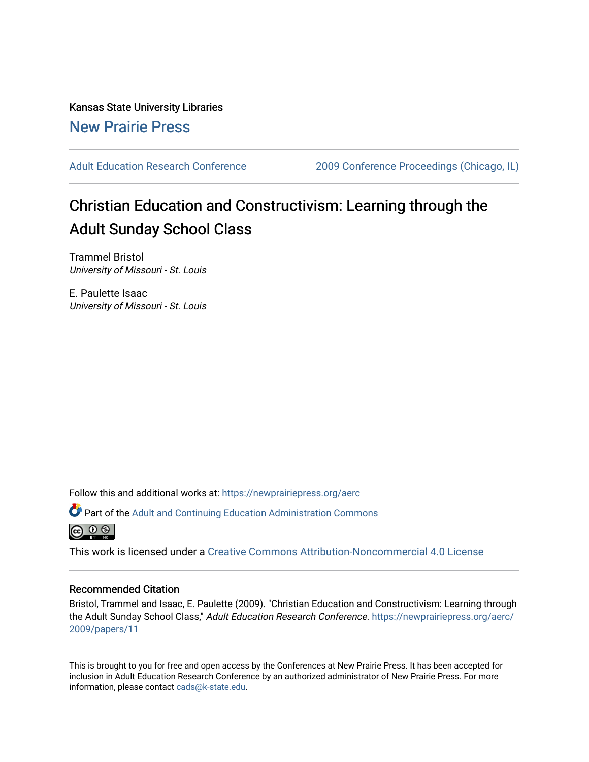Kansas State University Libraries [New Prairie Press](https://newprairiepress.org/) 

[Adult Education Research Conference](https://newprairiepress.org/aerc) [2009 Conference Proceedings \(Chicago, IL\)](https://newprairiepress.org/aerc/2009) 

# Christian Education and Constructivism: Learning through the Adult Sunday School Class

Trammel Bristol University of Missouri - St. Louis

E. Paulette Isaac University of Missouri - St. Louis

Follow this and additional works at: [https://newprairiepress.org/aerc](https://newprairiepress.org/aerc?utm_source=newprairiepress.org%2Faerc%2F2009%2Fpapers%2F11&utm_medium=PDF&utm_campaign=PDFCoverPages)

Part of the [Adult and Continuing Education Administration Commons](http://network.bepress.com/hgg/discipline/789?utm_source=newprairiepress.org%2Faerc%2F2009%2Fpapers%2F11&utm_medium=PDF&utm_campaign=PDFCoverPages)



This work is licensed under a [Creative Commons Attribution-Noncommercial 4.0 License](https://creativecommons.org/licenses/by-nc/4.0/)

#### Recommended Citation

Bristol, Trammel and Isaac, E. Paulette (2009). "Christian Education and Constructivism: Learning through the Adult Sunday School Class," Adult Education Research Conference. [https://newprairiepress.org/aerc/](https://newprairiepress.org/aerc/2009/papers/11) [2009/papers/11](https://newprairiepress.org/aerc/2009/papers/11)

This is brought to you for free and open access by the Conferences at New Prairie Press. It has been accepted for inclusion in Adult Education Research Conference by an authorized administrator of New Prairie Press. For more information, please contact [cads@k-state.edu](mailto:cads@k-state.edu).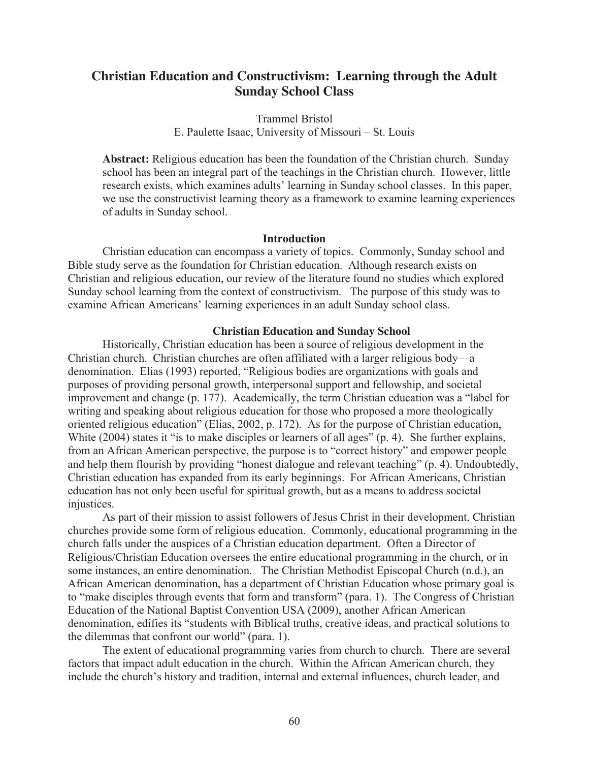## **Christian Education and Constructivism: Learning through the Adult Sunday School Class**

Trammel Bristol E. Paulette Isaac, University of Missouri – St. Louis

**Abstract:** Religious education has been the foundation of the Christian church. Sunday school has been an integral part of the teachings in the Christian church. However, little research exists, which examines adults' learning in Sunday school classes. In this paper, we use the constructivist learning theory as a framework to examine learning experiences of adults in Sunday school.

## **Introduction**

Christian education can encompass a variety of topics. Commonly, Sunday school and Bible study serve as the foundation for Christian education. Although research exists on Christian and religious education, our review of the literature found no studies which explored Sunday school learning from the context of constructivism. The purpose of this study was to examine African Americans' learning experiences in an adult Sunday school class.

## **Christian Education and Sunday School**

Historically, Christian education has been a source of religious development in the Christian church. Christian churches are often affiliated with a larger religious body—a denomination. Elias (1993) reported, "Religious bodies are organizations with goals and purposes of providing personal growth, interpersonal support and fellowship, and societal improvement and change (p. 177). Academically, the term Christian education was a "label for writing and speaking about religious education for those who proposed a more theologically oriented religious education" (Elias, 2002, p. 172). As for the purpose of Christian education, White (2004) states it "is to make disciples or learners of all ages" (p. 4). She further explains, from an African American perspective, the purpose is to "correct history" and empower people and help them flourish by providing "honest dialogue and relevant teaching" (p. 4). Undoubtedly, Christian education has expanded from its early beginnings. For African Americans, Christian education has not only been useful for spiritual growth, but as a means to address societal injustices.

As part of their mission to assist followers of Jesus Christ in their development, Christian churches provide some form of religious education. Commonly, educational programming in the church falls under the auspices of a Christian education department. Often a Director of Religious/Christian Education oversees the entire educational programming in the church, or in some instances, an entire denomination. The Christian Methodist Episcopal Church (n.d.), an African American denomination, has a department of Christian Education whose primary goal is to "make disciples through events that form and transform" (para. 1). The Congress of Christian Education of the National Baptist Convention USA (2009), another African American denomination, edifies its "students with Biblical truths, creative ideas, and practical solutions to the dilemmas that confront our world" (para. 1).

The extent of educational programming varies from church to church. There are several factors that impact adult education in the church. Within the African American church, they include the church's history and tradition, internal and external influences, church leader, and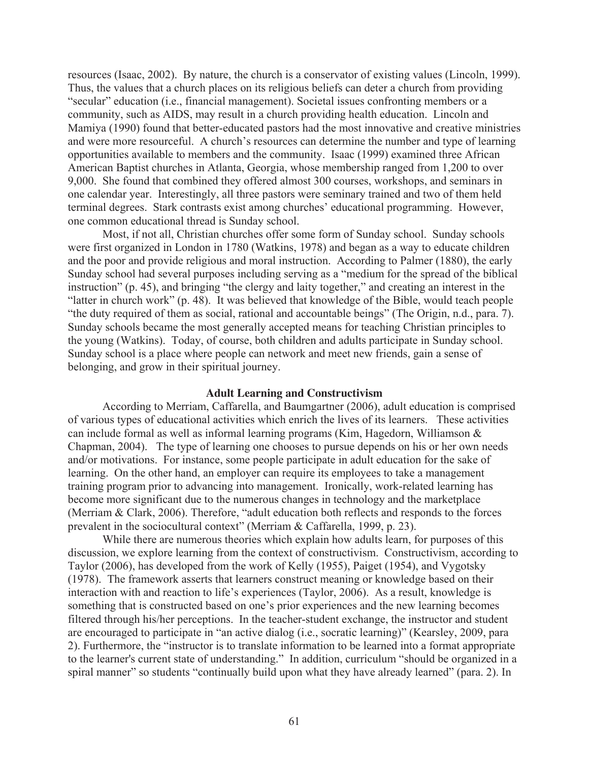resources (Isaac, 2002). By nature, the church is a conservator of existing values (Lincoln, 1999). Thus, the values that a church places on its religious beliefs can deter a church from providing "secular" education (i.e., financial management). Societal issues confronting members or a community, such as AIDS, may result in a church providing health education. Lincoln and Mamiya (1990) found that better-educated pastors had the most innovative and creative ministries and were more resourceful. A church's resources can determine the number and type of learning opportunities available to members and the community. Isaac (1999) examined three African American Baptist churches in Atlanta, Georgia, whose membership ranged from 1,200 to over 9,000. She found that combined they offered almost 300 courses, workshops, and seminars in one calendar year. Interestingly, all three pastors were seminary trained and two of them held terminal degrees. Stark contrasts exist among churches' educational programming. However, one common educational thread is Sunday school.

Most, if not all, Christian churches offer some form of Sunday school. Sunday schools were first organized in London in 1780 (Watkins, 1978) and began as a way to educate children and the poor and provide religious and moral instruction. According to Palmer (1880), the early Sunday school had several purposes including serving as a "medium for the spread of the biblical instruction" (p. 45), and bringing "the clergy and laity together," and creating an interest in the "latter in church work" (p. 48). It was believed that knowledge of the Bible, would teach people "the duty required of them as social, rational and accountable beings" (The Origin, n.d., para. 7). Sunday schools became the most generally accepted means for teaching Christian principles to the young (Watkins). Today, of course, both children and adults participate in Sunday school. Sunday school is a place where people can network and meet new friends, gain a sense of belonging, and grow in their spiritual journey.

## **Adult Learning and Constructivism**

According to Merriam, Caffarella, and Baumgartner (2006), adult education is comprised of various types of educational activities which enrich the lives of its learners. These activities can include formal as well as informal learning programs (Kim, Hagedorn, Williamson & Chapman, 2004). The type of learning one chooses to pursue depends on his or her own needs and/or motivations. For instance, some people participate in adult education for the sake of learning. On the other hand, an employer can require its employees to take a management training program prior to advancing into management. Ironically, work-related learning has become more significant due to the numerous changes in technology and the marketplace (Merriam & Clark, 2006). Therefore, "adult education both reflects and responds to the forces prevalent in the sociocultural context" (Merriam & Caffarella, 1999, p. 23).

While there are numerous theories which explain how adults learn, for purposes of this discussion, we explore learning from the context of constructivism. Constructivism, according to Taylor (2006), has developed from the work of Kelly (1955), Paiget (1954), and Vygotsky (1978). The framework asserts that learners construct meaning or knowledge based on their interaction with and reaction to life's experiences (Taylor, 2006). As a result, knowledge is something that is constructed based on one's prior experiences and the new learning becomes filtered through his/her perceptions. In the teacher-student exchange, the instructor and student are encouraged to participate in "an active dialog (i.e., socratic learning)" (Kearsley, 2009, para 2). Furthermore, the "instructor is to translate information to be learned into a format appropriate to the learner's current state of understanding." In addition, curriculum "should be organized in a spiral manner" so students "continually build upon what they have already learned" (para. 2). In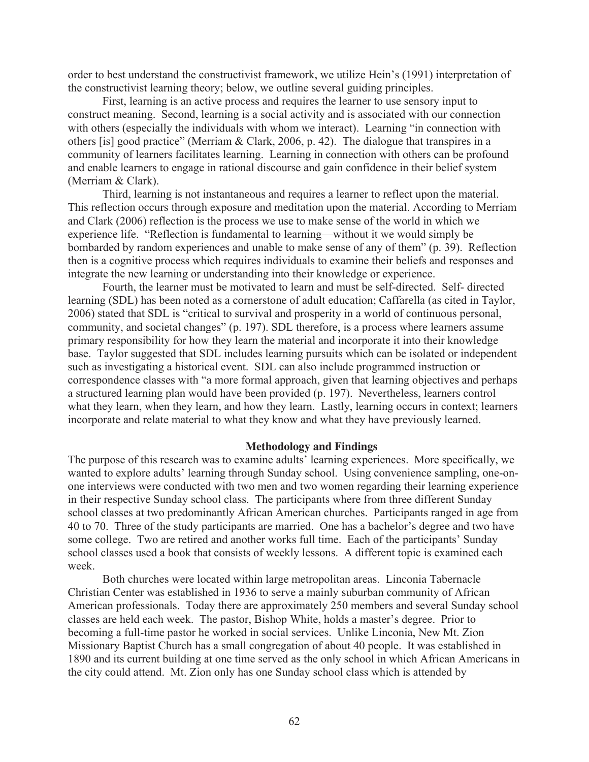order to best understand the constructivist framework, we utilize Hein's (1991) interpretation of the constructivist learning theory; below, we outline several guiding principles.

First, learning is an active process and requires the learner to use sensory input to construct meaning. Second, learning is a social activity and is associated with our connection with others (especially the individuals with whom we interact). Learning "in connection with others [is] good practice" (Merriam & Clark, 2006, p. 42). The dialogue that transpires in a community of learners facilitates learning. Learning in connection with others can be profound and enable learners to engage in rational discourse and gain confidence in their belief system (Merriam & Clark).

Third, learning is not instantaneous and requires a learner to reflect upon the material. This reflection occurs through exposure and meditation upon the material. According to Merriam and Clark (2006) reflection is the process we use to make sense of the world in which we experience life. "Reflection is fundamental to learning—without it we would simply be bombarded by random experiences and unable to make sense of any of them" (p. 39). Reflection then is a cognitive process which requires individuals to examine their beliefs and responses and integrate the new learning or understanding into their knowledge or experience.

Fourth, the learner must be motivated to learn and must be self-directed. Self- directed learning (SDL) has been noted as a cornerstone of adult education; Caffarella (as cited in Taylor, 2006) stated that SDL is "critical to survival and prosperity in a world of continuous personal, community, and societal changes" (p. 197). SDL therefore, is a process where learners assume primary responsibility for how they learn the material and incorporate it into their knowledge base. Taylor suggested that SDL includes learning pursuits which can be isolated or independent such as investigating a historical event. SDL can also include programmed instruction or correspondence classes with "a more formal approach, given that learning objectives and perhaps a structured learning plan would have been provided (p. 197). Nevertheless, learners control what they learn, when they learn, and how they learn. Lastly, learning occurs in context; learners incorporate and relate material to what they know and what they have previously learned.

#### **Methodology and Findings**

The purpose of this research was to examine adults' learning experiences. More specifically, we wanted to explore adults' learning through Sunday school. Using convenience sampling, one-onone interviews were conducted with two men and two women regarding their learning experience in their respective Sunday school class. The participants where from three different Sunday school classes at two predominantly African American churches. Participants ranged in age from 40 to 70. Three of the study participants are married. One has a bachelor's degree and two have some college. Two are retired and another works full time. Each of the participants' Sunday school classes used a book that consists of weekly lessons. A different topic is examined each week.

Both churches were located within large metropolitan areas. Linconia Tabernacle Christian Center was established in 1936 to serve a mainly suburban community of African American professionals. Today there are approximately 250 members and several Sunday school classes are held each week. The pastor, Bishop White, holds a master's degree. Prior to becoming a full-time pastor he worked in social services. Unlike Linconia, New Mt. Zion Missionary Baptist Church has a small congregation of about 40 people. It was established in 1890 and its current building at one time served as the only school in which African Americans in the city could attend. Mt. Zion only has one Sunday school class which is attended by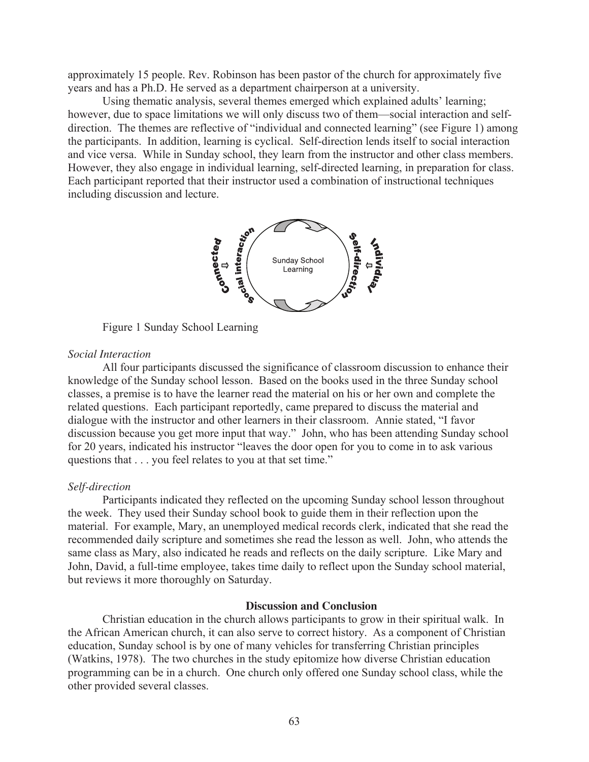approximately 15 people. Rev. Robinson has been pastor of the church for approximately five years and has a Ph.D. He served as a department chairperson at a university.

Using thematic analysis, several themes emerged which explained adults' learning; however, due to space limitations we will only discuss two of them—social interaction and selfdirection. The themes are reflective of "individual and connected learning" (see Figure 1) among the participants. In addition, learning is cyclical. Self-direction lends itself to social interaction and vice versa. While in Sunday school, they learn from the instructor and other class members. However, they also engage in individual learning, self-directed learning, in preparation for class. Each participant reported that their instructor used a combination of instructional techniques including discussion and lecture.



Figure 1 Sunday School Learning

## *Social Interaction*

All four participants discussed the significance of classroom discussion to enhance their knowledge of the Sunday school lesson. Based on the books used in the three Sunday school classes, a premise is to have the learner read the material on his or her own and complete the related questions. Each participant reportedly, came prepared to discuss the material and dialogue with the instructor and other learners in their classroom. Annie stated, "I favor discussion because you get more input that way." John, who has been attending Sunday school for 20 years, indicated his instructor "leaves the door open for you to come in to ask various questions that . . . you feel relates to you at that set time."

## *Self-direction*

Participants indicated they reflected on the upcoming Sunday school lesson throughout the week. They used their Sunday school book to guide them in their reflection upon the material. For example, Mary, an unemployed medical records clerk, indicated that she read the recommended daily scripture and sometimes she read the lesson as well. John, who attends the same class as Mary, also indicated he reads and reflects on the daily scripture. Like Mary and John, David, a full-time employee, takes time daily to reflect upon the Sunday school material, but reviews it more thoroughly on Saturday.

## **Discussion and Conclusion**

 Christian education in the church allows participants to grow in their spiritual walk. In the African American church, it can also serve to correct history. As a component of Christian education, Sunday school is by one of many vehicles for transferring Christian principles (Watkins, 1978). The two churches in the study epitomize how diverse Christian education programming can be in a church. One church only offered one Sunday school class, while the other provided several classes.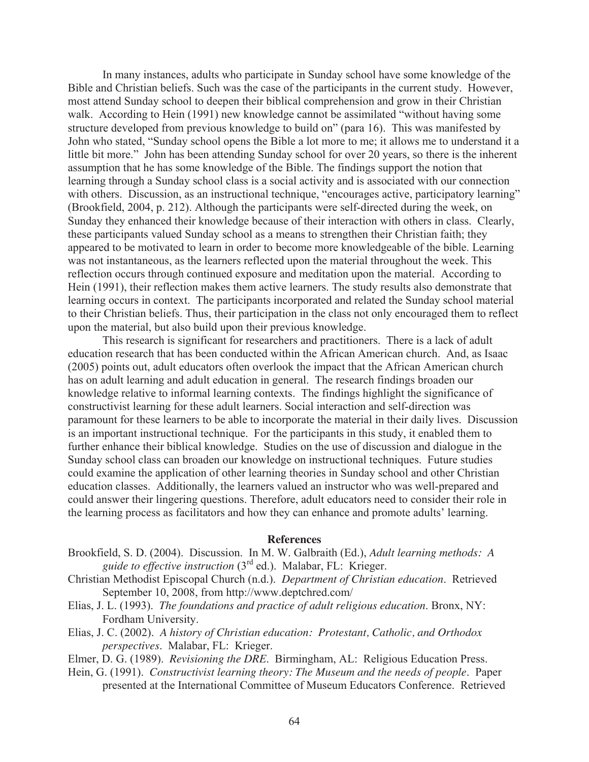In many instances, adults who participate in Sunday school have some knowledge of the Bible and Christian beliefs. Such was the case of the participants in the current study. However, most attend Sunday school to deepen their biblical comprehension and grow in their Christian walk. According to Hein (1991) new knowledge cannot be assimilated "without having some structure developed from previous knowledge to build on" (para 16). This was manifested by John who stated, "Sunday school opens the Bible a lot more to me; it allows me to understand it a little bit more." John has been attending Sunday school for over 20 years, so there is the inherent assumption that he has some knowledge of the Bible. The findings support the notion that learning through a Sunday school class is a social activity and is associated with our connection with others. Discussion, as an instructional technique, "encourages active, participatory learning" (Brookfield, 2004, p. 212). Although the participants were self-directed during the week, on Sunday they enhanced their knowledge because of their interaction with others in class. Clearly, these participants valued Sunday school as a means to strengthen their Christian faith; they appeared to be motivated to learn in order to become more knowledgeable of the bible. Learning was not instantaneous, as the learners reflected upon the material throughout the week. This reflection occurs through continued exposure and meditation upon the material. According to Hein (1991), their reflection makes them active learners. The study results also demonstrate that learning occurs in context. The participants incorporated and related the Sunday school material to their Christian beliefs. Thus, their participation in the class not only encouraged them to reflect upon the material, but also build upon their previous knowledge.

This research is significant for researchers and practitioners. There is a lack of adult education research that has been conducted within the African American church. And, as Isaac (2005) points out, adult educators often overlook the impact that the African American church has on adult learning and adult education in general. The research findings broaden our knowledge relative to informal learning contexts. The findings highlight the significance of constructivist learning for these adult learners. Social interaction and self-direction was paramount for these learners to be able to incorporate the material in their daily lives. Discussion is an important instructional technique. For the participants in this study, it enabled them to further enhance their biblical knowledge. Studies on the use of discussion and dialogue in the Sunday school class can broaden our knowledge on instructional techniques. Future studies could examine the application of other learning theories in Sunday school and other Christian education classes. Additionally, the learners valued an instructor who was well-prepared and could answer their lingering questions. Therefore, adult educators need to consider their role in the learning process as facilitators and how they can enhance and promote adults' learning.

## **References**

- Brookfield, S. D. (2004). Discussion. In M. W. Galbraith (Ed.), *Adult learning methods: A guide to effective instruction* (3rd ed.). Malabar, FL: Krieger.
- Christian Methodist Episcopal Church (n.d.). *Department of Christian education*. Retrieved September 10, 2008, from http://www.deptchred.com/
- Elias, J. L. (1993). *The foundations and practice of adult religious education*. Bronx, NY: Fordham University.
- Elias, J. C. (2002). *A history of Christian education: Protestant, Catholic, and Orthodox perspectives*. Malabar, FL: Krieger.
- Elmer, D. G. (1989). *Revisioning the DRE*. Birmingham, AL: Religious Education Press.
- Hein, G. (1991). *Constructivist learning theory: The Museum and the needs of people*. Paper presented at the International Committee of Museum Educators Conference. Retrieved